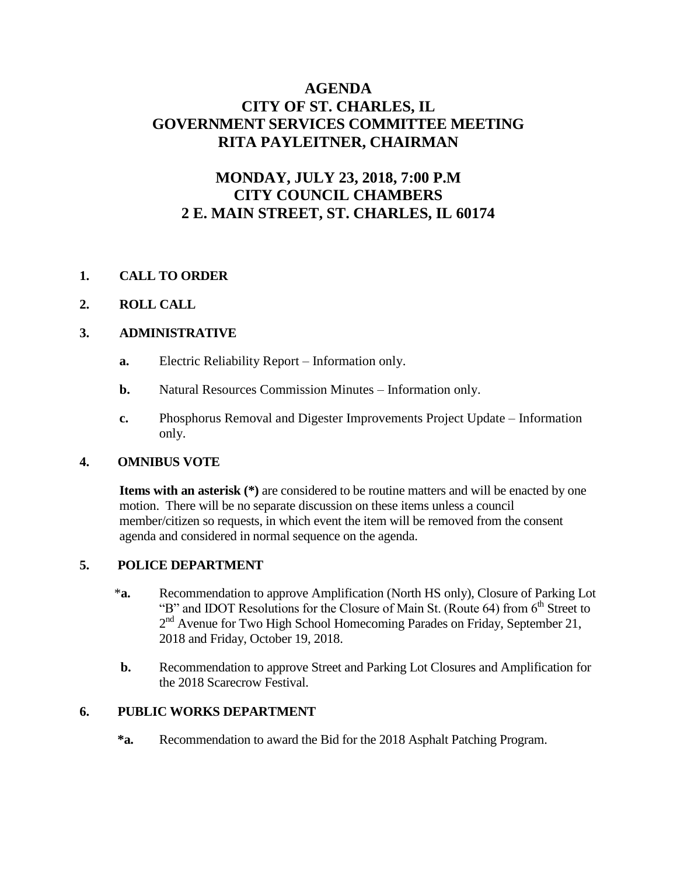## **AGENDA CITY OF ST. CHARLES, IL GOVERNMENT SERVICES COMMITTEE MEETING RITA PAYLEITNER, CHAIRMAN**

# **MONDAY, JULY 23, 2018, 7:00 P.M CITY COUNCIL CHAMBERS 2 E. MAIN STREET, ST. CHARLES, IL 60174**

## **1. CALL TO ORDER**

#### **2. ROLL CALL**

#### **3. ADMINISTRATIVE**

- **a.** Electric Reliability Report Information only.
- **b.** Natural Resources Commission Minutes Information only.
- **c.** Phosphorus Removal and Digester Improvements Project Update Information only.

#### **4. OMNIBUS VOTE**

 **Items with an asterisk (\*)** are considered to be routine matters and will be enacted by one motion. There will be no separate discussion on these items unless a council member/citizen so requests, in which event the item will be removed from the consent agenda and considered in normal sequence on the agenda.

#### **5. POLICE DEPARTMENT**

- \***a.** Recommendation to approve Amplification (North HS only), Closure of Parking Lot "B" and IDOT Resolutions for the Closure of Main St. (Route 64) from  $6<sup>th</sup>$  Street to 2<sup>nd</sup> Avenue for Two High School Homecoming Parades on Friday, September 21, 2018 and Friday, October 19, 2018.
- **b.** Recommendation to approve Street and Parking Lot Closures and Amplification for the 2018 Scarecrow Festival.

#### **6. PUBLIC WORKS DEPARTMENT**

 **\*a.** Recommendation to award the Bid for the 2018 Asphalt Patching Program.